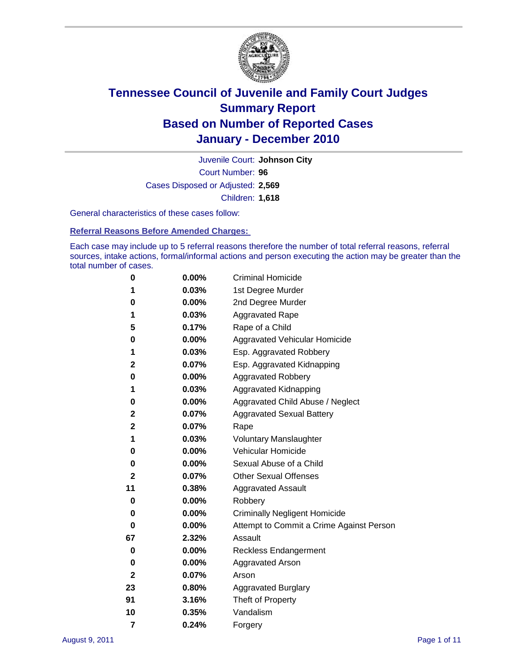

Court Number: **96** Juvenile Court: **Johnson City** Cases Disposed or Adjusted: **2,569** Children: **1,618**

General characteristics of these cases follow:

**Referral Reasons Before Amended Charges:** 

Each case may include up to 5 referral reasons therefore the number of total referral reasons, referral sources, intake actions, formal/informal actions and person executing the action may be greater than the total number of cases.

| 0  | 0.00%    | <b>Criminal Homicide</b>                 |  |  |  |
|----|----------|------------------------------------------|--|--|--|
| 1  | 0.03%    | 1st Degree Murder                        |  |  |  |
| 0  | 0.00%    | 2nd Degree Murder                        |  |  |  |
| 1  | 0.03%    | <b>Aggravated Rape</b>                   |  |  |  |
| 5  | 0.17%    | Rape of a Child                          |  |  |  |
| 0  | 0.00%    | Aggravated Vehicular Homicide            |  |  |  |
| 1  | 0.03%    | Esp. Aggravated Robbery                  |  |  |  |
| 2  | 0.07%    | Esp. Aggravated Kidnapping               |  |  |  |
| 0  | 0.00%    | <b>Aggravated Robbery</b>                |  |  |  |
| 1  | 0.03%    | Aggravated Kidnapping                    |  |  |  |
| 0  | 0.00%    | Aggravated Child Abuse / Neglect         |  |  |  |
| 2  | 0.07%    | <b>Aggravated Sexual Battery</b>         |  |  |  |
| 2  | 0.07%    | Rape                                     |  |  |  |
| 1  | 0.03%    | <b>Voluntary Manslaughter</b>            |  |  |  |
| 0  | 0.00%    | Vehicular Homicide                       |  |  |  |
| 0  | 0.00%    | Sexual Abuse of a Child                  |  |  |  |
| 2  | 0.07%    | <b>Other Sexual Offenses</b>             |  |  |  |
| 11 | 0.38%    | <b>Aggravated Assault</b>                |  |  |  |
| 0  | $0.00\%$ | Robbery                                  |  |  |  |
| 0  | 0.00%    | <b>Criminally Negligent Homicide</b>     |  |  |  |
| 0  | 0.00%    | Attempt to Commit a Crime Against Person |  |  |  |
| 67 | 2.32%    | Assault                                  |  |  |  |
| 0  | 0.00%    | <b>Reckless Endangerment</b>             |  |  |  |
| 0  | 0.00%    | <b>Aggravated Arson</b>                  |  |  |  |
| 2  | 0.07%    | Arson                                    |  |  |  |
| 23 | 0.80%    | <b>Aggravated Burglary</b>               |  |  |  |
| 91 | 3.16%    | Theft of Property                        |  |  |  |
| 10 | 0.35%    | Vandalism                                |  |  |  |
| 7  | 0.24%    | Forgery                                  |  |  |  |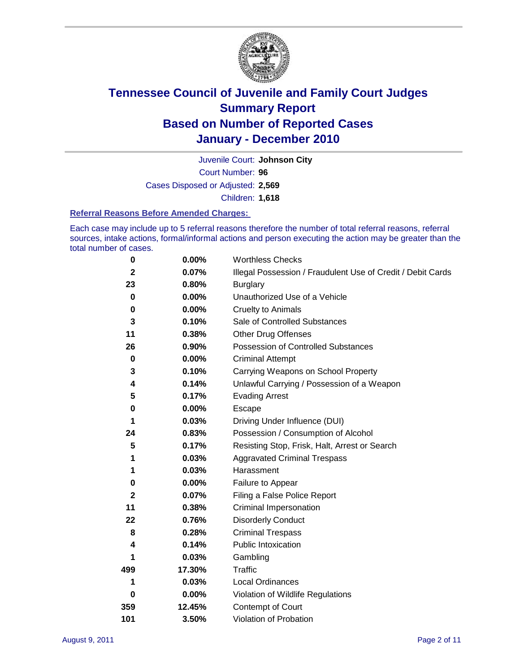

Court Number: **96** Juvenile Court: **Johnson City** Cases Disposed or Adjusted: **2,569** Children: **1,618**

#### **Referral Reasons Before Amended Charges:**

Each case may include up to 5 referral reasons therefore the number of total referral reasons, referral sources, intake actions, formal/informal actions and person executing the action may be greater than the total number of cases.

| $\pmb{0}$    | 0.00%    | <b>Worthless Checks</b>                                     |  |  |
|--------------|----------|-------------------------------------------------------------|--|--|
| $\mathbf{2}$ | 0.07%    | Illegal Possession / Fraudulent Use of Credit / Debit Cards |  |  |
| 23           | 0.80%    | <b>Burglary</b>                                             |  |  |
| $\mathbf 0$  | 0.00%    | Unauthorized Use of a Vehicle                               |  |  |
| 0            | $0.00\%$ | <b>Cruelty to Animals</b>                                   |  |  |
| 3            | 0.10%    | Sale of Controlled Substances                               |  |  |
| 11           | 0.38%    | <b>Other Drug Offenses</b>                                  |  |  |
| 26           | 0.90%    | Possession of Controlled Substances                         |  |  |
| $\mathbf 0$  | $0.00\%$ | <b>Criminal Attempt</b>                                     |  |  |
| 3            | 0.10%    | Carrying Weapons on School Property                         |  |  |
| 4            | 0.14%    | Unlawful Carrying / Possession of a Weapon                  |  |  |
| 5            | 0.17%    | <b>Evading Arrest</b>                                       |  |  |
| 0            | 0.00%    | Escape                                                      |  |  |
| 1            | 0.03%    | Driving Under Influence (DUI)                               |  |  |
| 24           | 0.83%    | Possession / Consumption of Alcohol                         |  |  |
| 5            | 0.17%    | Resisting Stop, Frisk, Halt, Arrest or Search               |  |  |
| 1            | 0.03%    | <b>Aggravated Criminal Trespass</b>                         |  |  |
| 1            | 0.03%    | Harassment                                                  |  |  |
| $\pmb{0}$    | 0.00%    | Failure to Appear                                           |  |  |
| $\mathbf{2}$ | 0.07%    | Filing a False Police Report                                |  |  |
| 11           | 0.38%    | Criminal Impersonation                                      |  |  |
| 22           | 0.76%    | <b>Disorderly Conduct</b>                                   |  |  |
| 8            | 0.28%    | <b>Criminal Trespass</b>                                    |  |  |
| 4            | 0.14%    | <b>Public Intoxication</b>                                  |  |  |
| 1            | 0.03%    | Gambling                                                    |  |  |
| 499          | 17.30%   | <b>Traffic</b>                                              |  |  |
| 1            | 0.03%    | Local Ordinances                                            |  |  |
| 0            | 0.00%    | Violation of Wildlife Regulations                           |  |  |
| 359          | 12.45%   | Contempt of Court                                           |  |  |
| 101          | 3.50%    | Violation of Probation                                      |  |  |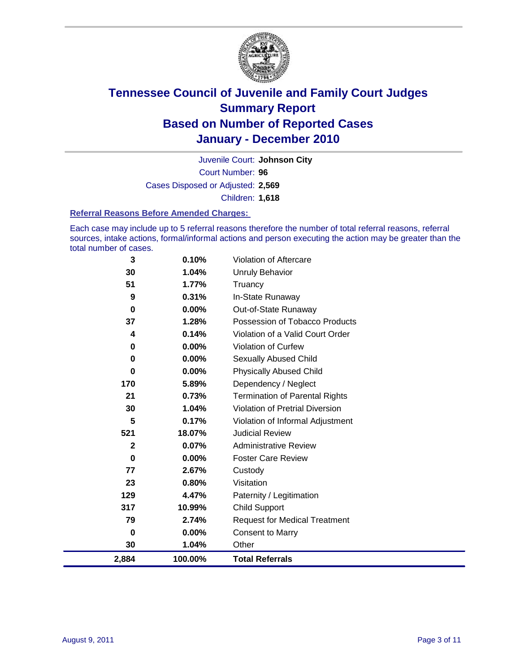

Court Number: **96** Juvenile Court: **Johnson City** Cases Disposed or Adjusted: **2,569** Children: **1,618**

#### **Referral Reasons Before Amended Charges:**

Each case may include up to 5 referral reasons therefore the number of total referral reasons, referral sources, intake actions, formal/informal actions and person executing the action may be greater than the total number of cases.

| 2,884        | 100.00%  | <b>Total Referrals</b>                 |
|--------------|----------|----------------------------------------|
| 30           | 1.04%    | Other                                  |
| $\bf{0}$     | 0.00%    | <b>Consent to Marry</b>                |
| 79           | 2.74%    | <b>Request for Medical Treatment</b>   |
| 317          | 10.99%   | <b>Child Support</b>                   |
| 129          | 4.47%    | Paternity / Legitimation               |
| 23           | 0.80%    | Visitation                             |
| 77           | 2.67%    | Custody                                |
| 0            | $0.00\%$ | <b>Foster Care Review</b>              |
| $\mathbf{2}$ | 0.07%    | <b>Administrative Review</b>           |
| 521          | 18.07%   | <b>Judicial Review</b>                 |
| 5            | 0.17%    | Violation of Informal Adjustment       |
| 30           | 1.04%    | <b>Violation of Pretrial Diversion</b> |
| 21           | 0.73%    | <b>Termination of Parental Rights</b>  |
| 170          | 5.89%    | Dependency / Neglect                   |
| $\bf{0}$     | $0.00\%$ | <b>Physically Abused Child</b>         |
| $\bf{0}$     | $0.00\%$ | <b>Sexually Abused Child</b>           |
| 0            | $0.00\%$ | <b>Violation of Curfew</b>             |
| 4            | 0.14%    | Violation of a Valid Court Order       |
| 37           | 1.28%    | Possession of Tobacco Products         |
| $\bf{0}$     | $0.00\%$ | Out-of-State Runaway                   |
| 9            | 0.31%    | In-State Runaway                       |
| 51           | 1.77%    | Truancy                                |
| 30           | 1.04%    | <b>Unruly Behavior</b>                 |
| 3            | 0.10%    | Violation of Aftercare                 |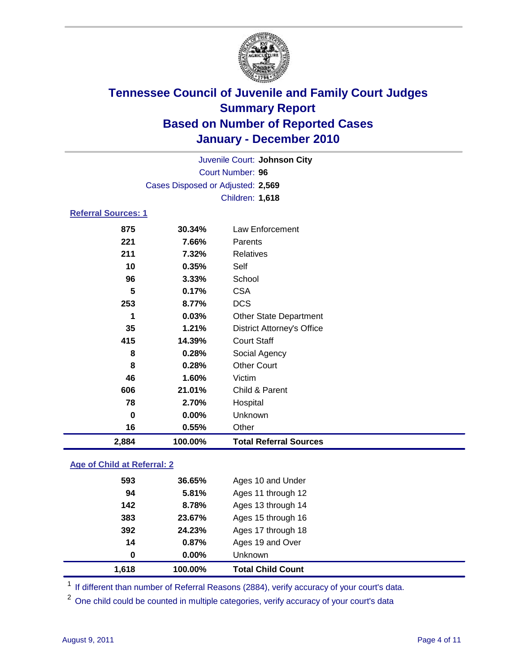

| Juvenile Court: Johnson City |                                   |                                   |  |  |
|------------------------------|-----------------------------------|-----------------------------------|--|--|
| <b>Court Number: 96</b>      |                                   |                                   |  |  |
|                              | Cases Disposed or Adjusted: 2,569 |                                   |  |  |
|                              |                                   | Children: 1,618                   |  |  |
| <b>Referral Sources: 1</b>   |                                   |                                   |  |  |
| 875                          | 30.34%                            | Law Enforcement                   |  |  |
| 221                          | 7.66%                             | Parents                           |  |  |
| 211                          | 7.32%                             | <b>Relatives</b>                  |  |  |
| 10                           | 0.35%                             | Self                              |  |  |
| 96                           | 3.33%                             | School                            |  |  |
| 5                            | 0.17%                             | <b>CSA</b>                        |  |  |
| 253                          | 8.77%                             | <b>DCS</b>                        |  |  |
| 1                            | 0.03%                             | <b>Other State Department</b>     |  |  |
| 35                           | 1.21%                             | <b>District Attorney's Office</b> |  |  |
| 415                          | 14.39%                            | <b>Court Staff</b>                |  |  |
| 8                            | 0.28%                             | Social Agency                     |  |  |
| 8                            | 0.28%                             | <b>Other Court</b>                |  |  |
| 46                           | 1.60%                             | Victim                            |  |  |
| 606                          | 21.01%                            | Child & Parent                    |  |  |
| 78                           | 2.70%                             | Hospital                          |  |  |
| 0                            | 0.00%                             | Unknown                           |  |  |
| 16                           | 0.55%                             | Other                             |  |  |
| 2,884                        | 100.00%                           | <b>Total Referral Sources</b>     |  |  |

### **Age of Child at Referral: 2**

| 1,618 | 100.00%  | <b>Total Child Count</b> |
|-------|----------|--------------------------|
| 0     | $0.00\%$ | <b>Unknown</b>           |
| 14    | 0.87%    | Ages 19 and Over         |
| 392   | 24.23%   | Ages 17 through 18       |
| 383   | 23.67%   | Ages 15 through 16       |
| 142   | 8.78%    | Ages 13 through 14       |
| 94    | 5.81%    | Ages 11 through 12       |
| 593   | 36.65%   | Ages 10 and Under        |
|       |          |                          |

<sup>1</sup> If different than number of Referral Reasons (2884), verify accuracy of your court's data.

<sup>2</sup> One child could be counted in multiple categories, verify accuracy of your court's data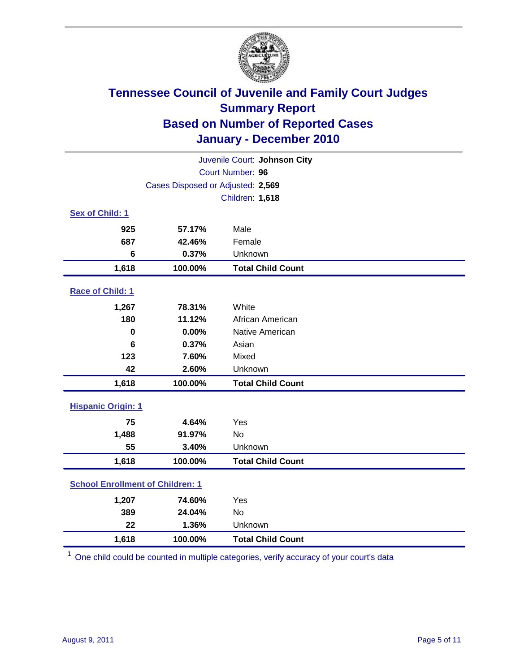

| Juvenile Court: Johnson City            |                                   |                          |  |  |  |
|-----------------------------------------|-----------------------------------|--------------------------|--|--|--|
| Court Number: 96                        |                                   |                          |  |  |  |
|                                         | Cases Disposed or Adjusted: 2,569 |                          |  |  |  |
|                                         |                                   | Children: 1,618          |  |  |  |
| Sex of Child: 1                         |                                   |                          |  |  |  |
| 925                                     | 57.17%                            | Male                     |  |  |  |
| 687                                     | 42.46%                            | Female                   |  |  |  |
| 6                                       | 0.37%                             | Unknown                  |  |  |  |
| 1,618                                   | 100.00%                           | <b>Total Child Count</b> |  |  |  |
| Race of Child: 1                        |                                   |                          |  |  |  |
| 1,267                                   | 78.31%                            | White                    |  |  |  |
| 180                                     | 11.12%                            | African American         |  |  |  |
| $\mathbf 0$                             | 0.00%                             | Native American          |  |  |  |
| 6                                       | 0.37%                             | Asian                    |  |  |  |
| 123                                     | 7.60%                             | Mixed                    |  |  |  |
| 42                                      | 2.60%                             | Unknown                  |  |  |  |
| 1,618                                   | 100.00%                           | <b>Total Child Count</b> |  |  |  |
| <b>Hispanic Origin: 1</b>               |                                   |                          |  |  |  |
| 75                                      | 4.64%                             | Yes                      |  |  |  |
| 1,488                                   | 91.97%                            | No                       |  |  |  |
| 55                                      | 3.40%                             | Unknown                  |  |  |  |
| 1,618                                   | 100.00%                           | <b>Total Child Count</b> |  |  |  |
| <b>School Enrollment of Children: 1</b> |                                   |                          |  |  |  |
| 1,207                                   | 74.60%                            | Yes                      |  |  |  |
| 389                                     | 24.04%                            | <b>No</b>                |  |  |  |
| 22                                      | 1.36%                             | Unknown                  |  |  |  |
| 1,618                                   | 100.00%                           | <b>Total Child Count</b> |  |  |  |

<sup>1</sup> One child could be counted in multiple categories, verify accuracy of your court's data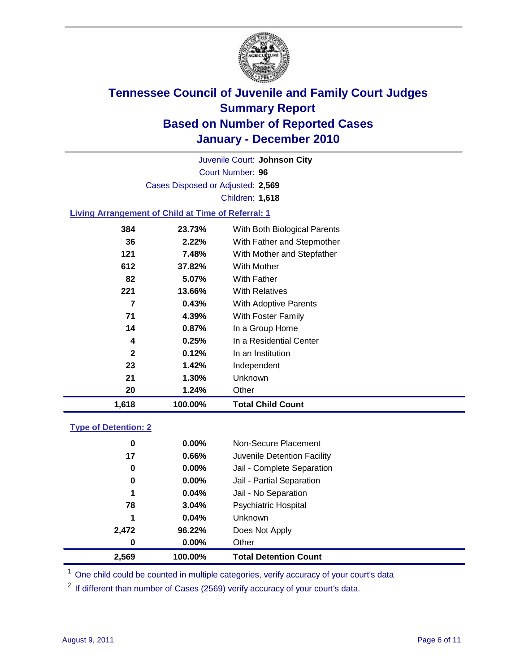

Court Number: **96** Juvenile Court: **Johnson City** Cases Disposed or Adjusted: **2,569** Children: **1,618**

### **Living Arrangement of Child at Time of Referral: 1**

| 1,618        | 100.00% | <b>Total Child Count</b>     |  |
|--------------|---------|------------------------------|--|
| 20           | 1.24%   | Other                        |  |
| 21           | 1.30%   | <b>Unknown</b>               |  |
| 23           | 1.42%   | Independent                  |  |
| $\mathbf{2}$ | 0.12%   | In an Institution            |  |
| 4            | 0.25%   | In a Residential Center      |  |
| 14           | 0.87%   | In a Group Home              |  |
| 71           | 4.39%   | With Foster Family           |  |
| 7            | 0.43%   | With Adoptive Parents        |  |
| 221          | 13.66%  | <b>With Relatives</b>        |  |
| 82           | 5.07%   | With Father                  |  |
| 612          | 37.82%  | With Mother                  |  |
| 121          | 7.48%   | With Mother and Stepfather   |  |
| 36           | 2.22%   | With Father and Stepmother   |  |
| 384          | 23.73%  | With Both Biological Parents |  |
|              |         |                              |  |

#### **Type of Detention: 2**

| 2,569 | 100.00%  | <b>Total Detention Count</b> |
|-------|----------|------------------------------|
| 0     | $0.00\%$ | Other                        |
| 2,472 | 96.22%   | Does Not Apply               |
| 1     | 0.04%    | Unknown                      |
| 78    | 3.04%    | <b>Psychiatric Hospital</b>  |
| 1     | 0.04%    | Jail - No Separation         |
| 0     | $0.00\%$ | Jail - Partial Separation    |
| 0     | 0.00%    | Jail - Complete Separation   |
| 17    | 0.66%    | Juvenile Detention Facility  |
| 0     | $0.00\%$ | Non-Secure Placement         |
|       |          |                              |

<sup>1</sup> One child could be counted in multiple categories, verify accuracy of your court's data

<sup>2</sup> If different than number of Cases (2569) verify accuracy of your court's data.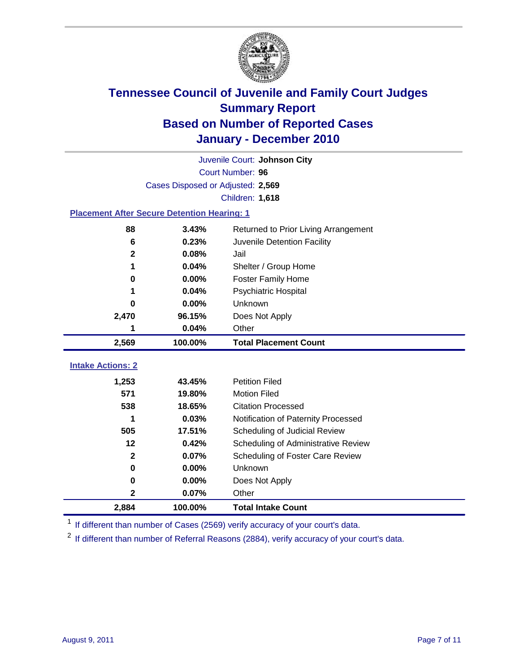

|                                                    | Juvenile Court: Johnson City      |                                      |  |  |  |
|----------------------------------------------------|-----------------------------------|--------------------------------------|--|--|--|
|                                                    | Court Number: 96                  |                                      |  |  |  |
|                                                    | Cases Disposed or Adjusted: 2,569 |                                      |  |  |  |
|                                                    |                                   | Children: 1,618                      |  |  |  |
| <b>Placement After Secure Detention Hearing: 1</b> |                                   |                                      |  |  |  |
| 88                                                 | 3.43%                             | Returned to Prior Living Arrangement |  |  |  |
| 6                                                  | 0.23%                             | Juvenile Detention Facility          |  |  |  |
| $\mathbf 2$                                        | 0.08%                             | Jail                                 |  |  |  |
| 1                                                  | 0.04%                             | Shelter / Group Home                 |  |  |  |
| 0                                                  | 0.00%                             | <b>Foster Family Home</b>            |  |  |  |
|                                                    | 0.04%                             | <b>Psychiatric Hospital</b>          |  |  |  |
| 0                                                  | 0.00%                             | Unknown                              |  |  |  |
| 2,470                                              | 96.15%                            | Does Not Apply                       |  |  |  |
| 1                                                  | 0.04%                             | Other                                |  |  |  |
| 2,569                                              | 100.00%                           | <b>Total Placement Count</b>         |  |  |  |
| <b>Intake Actions: 2</b>                           |                                   |                                      |  |  |  |
|                                                    |                                   |                                      |  |  |  |
| 1,253                                              | 43.45%                            | <b>Petition Filed</b>                |  |  |  |
| 571                                                | 19.80%                            | <b>Motion Filed</b>                  |  |  |  |
| 538                                                | 18.65%                            | <b>Citation Processed</b>            |  |  |  |
| 1                                                  |                                   |                                      |  |  |  |
|                                                    | 0.03%                             | Notification of Paternity Processed  |  |  |  |
| 505                                                | 17.51%                            | Scheduling of Judicial Review        |  |  |  |
| 12                                                 | 0.42%                             | Scheduling of Administrative Review  |  |  |  |
| $\mathbf{2}$                                       | 0.07%                             | Scheduling of Foster Care Review     |  |  |  |
| $\bf{0}$                                           | 0.00%                             | Unknown                              |  |  |  |
| $\bf{0}$                                           | 0.00%                             | Does Not Apply                       |  |  |  |
| 2                                                  | 0.07%                             | Other                                |  |  |  |

<sup>1</sup> If different than number of Cases (2569) verify accuracy of your court's data.

<sup>2</sup> If different than number of Referral Reasons (2884), verify accuracy of your court's data.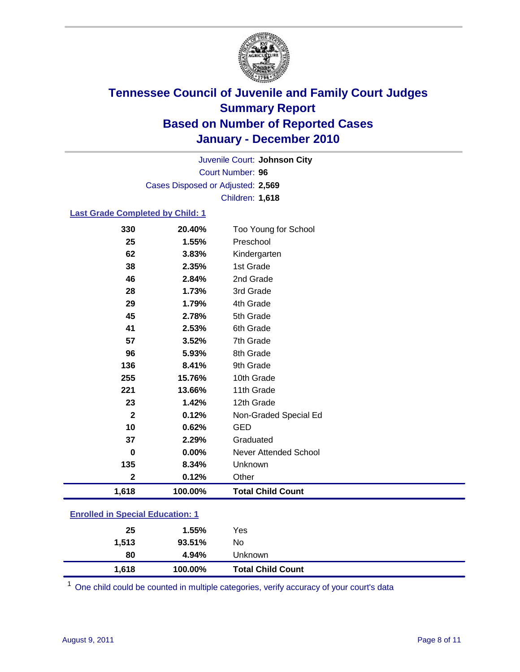

Court Number: **96** Juvenile Court: **Johnson City** Cases Disposed or Adjusted: **2,569** Children: **1,618**

### **Last Grade Completed by Child: 1**

| 330                                     | 20.40%  | Too Young for School         |  |
|-----------------------------------------|---------|------------------------------|--|
| 25                                      | 1.55%   | Preschool                    |  |
| 62                                      | 3.83%   | Kindergarten                 |  |
| 38                                      | 2.35%   | 1st Grade                    |  |
| 46                                      | 2.84%   | 2nd Grade                    |  |
| 28                                      | 1.73%   | 3rd Grade                    |  |
| 29                                      | 1.79%   | 4th Grade                    |  |
| 45                                      | 2.78%   | 5th Grade                    |  |
| 41                                      | 2.53%   | 6th Grade                    |  |
| 57                                      | 3.52%   | 7th Grade                    |  |
| 96                                      | 5.93%   | 8th Grade                    |  |
| 136                                     | 8.41%   | 9th Grade                    |  |
| 255                                     | 15.76%  | 10th Grade                   |  |
| 221                                     | 13.66%  | 11th Grade                   |  |
| 23                                      | 1.42%   | 12th Grade                   |  |
| $\mathbf{2}$                            | 0.12%   | Non-Graded Special Ed        |  |
| 10                                      | 0.62%   | <b>GED</b>                   |  |
| 37                                      | 2.29%   | Graduated                    |  |
| 0                                       | 0.00%   | <b>Never Attended School</b> |  |
| 135                                     | 8.34%   | Unknown                      |  |
| $\mathbf 2$                             | 0.12%   | Other                        |  |
| 1,618                                   | 100.00% | <b>Total Child Count</b>     |  |
| <b>Enrolled in Special Education: 1</b> |         |                              |  |

| 1,618 | 100.00% | <b>Total Child Count</b> |
|-------|---------|--------------------------|
| 80    | 4.94%   | Unknown                  |
| 1,513 | 93.51%  | No                       |
| 25    | 1.55%   | Yes                      |
|       |         |                          |

One child could be counted in multiple categories, verify accuracy of your court's data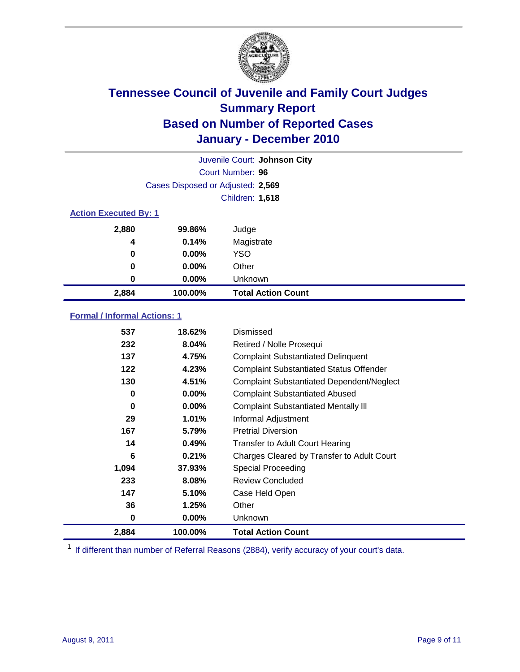

| Juvenile Court: Johnson City |                                   |                           |  |  |
|------------------------------|-----------------------------------|---------------------------|--|--|
|                              | Court Number: 96                  |                           |  |  |
|                              | Cases Disposed or Adjusted: 2,569 |                           |  |  |
|                              | <b>Children: 1,618</b>            |                           |  |  |
| <b>Action Executed By: 1</b> |                                   |                           |  |  |
| 2,880                        | 99.86%                            | Judge                     |  |  |
| 4                            | 0.14%                             | Magistrate                |  |  |
| 0                            | $0.00\%$                          | <b>YSO</b>                |  |  |
| 0                            | $0.00\%$                          | Other                     |  |  |
| 0                            | 0.00%                             | Unknown                   |  |  |
| 2,884                        | 100.00%                           | <b>Total Action Count</b> |  |  |

### **Formal / Informal Actions: 1**

| 537   | 18.62%   | <b>Dismissed</b>                                 |
|-------|----------|--------------------------------------------------|
| 232   | 8.04%    | Retired / Nolle Prosequi                         |
| 137   | 4.75%    | <b>Complaint Substantiated Delinquent</b>        |
| 122   | 4.23%    | <b>Complaint Substantiated Status Offender</b>   |
| 130   | 4.51%    | <b>Complaint Substantiated Dependent/Neglect</b> |
| 0     | $0.00\%$ | <b>Complaint Substantiated Abused</b>            |
| 0     | $0.00\%$ | <b>Complaint Substantiated Mentally III</b>      |
| 29    | 1.01%    | Informal Adjustment                              |
| 167   | 5.79%    | <b>Pretrial Diversion</b>                        |
| 14    | 0.49%    | <b>Transfer to Adult Court Hearing</b>           |
| 6     | 0.21%    | Charges Cleared by Transfer to Adult Court       |
| 1,094 | 37.93%   | Special Proceeding                               |
| 233   | 8.08%    | <b>Review Concluded</b>                          |
| 147   | 5.10%    | Case Held Open                                   |
| 36    | 1.25%    | Other                                            |
| 0     | 0.00%    | Unknown                                          |
| 2,884 | 100.00%  | <b>Total Action Count</b>                        |

<sup>1</sup> If different than number of Referral Reasons (2884), verify accuracy of your court's data.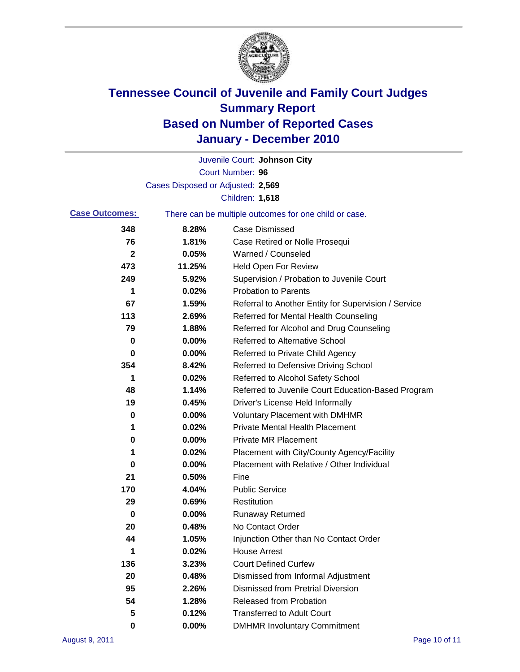

|                       |                                   | Juvenile Court: Johnson City                          |
|-----------------------|-----------------------------------|-------------------------------------------------------|
|                       |                                   | Court Number: 96                                      |
|                       | Cases Disposed or Adjusted: 2,569 |                                                       |
|                       |                                   | <b>Children: 1,618</b>                                |
| <b>Case Outcomes:</b> |                                   | There can be multiple outcomes for one child or case. |
| 348                   | 8.28%                             | <b>Case Dismissed</b>                                 |
| 76                    | 1.81%                             | Case Retired or Nolle Prosequi                        |
| 2                     | 0.05%                             | Warned / Counseled                                    |
| 473                   | 11.25%                            | <b>Held Open For Review</b>                           |
| 249                   | 5.92%                             | Supervision / Probation to Juvenile Court             |
| 1                     | 0.02%                             | <b>Probation to Parents</b>                           |
| 67                    | 1.59%                             | Referral to Another Entity for Supervision / Service  |
| 113                   | 2.69%                             | Referred for Mental Health Counseling                 |
| 79                    | 1.88%                             | Referred for Alcohol and Drug Counseling              |
| 0                     | 0.00%                             | <b>Referred to Alternative School</b>                 |
| 0                     | 0.00%                             | Referred to Private Child Agency                      |
| 354                   | 8.42%                             | Referred to Defensive Driving School                  |
| 1                     | 0.02%                             | Referred to Alcohol Safety School                     |
| 48                    | 1.14%                             | Referred to Juvenile Court Education-Based Program    |
| 19                    | 0.45%                             | Driver's License Held Informally                      |
| 0                     | 0.00%                             | <b>Voluntary Placement with DMHMR</b>                 |
| 1                     | 0.02%                             | <b>Private Mental Health Placement</b>                |
| 0                     | 0.00%                             | <b>Private MR Placement</b>                           |
| 1                     | 0.02%                             | Placement with City/County Agency/Facility            |
| 0                     | 0.00%                             | Placement with Relative / Other Individual            |
| 21                    | 0.50%                             | Fine                                                  |
| 170                   | 4.04%                             | <b>Public Service</b>                                 |
| 29                    | 0.69%                             | Restitution                                           |
| 0                     | 0.00%                             | <b>Runaway Returned</b>                               |
| 20                    | 0.48%                             | No Contact Order                                      |
| 44                    | 1.05%                             | Injunction Other than No Contact Order                |
| 1                     | 0.02%                             | <b>House Arrest</b>                                   |
| 136                   | 3.23%                             | <b>Court Defined Curfew</b>                           |
| 20                    | 0.48%                             | Dismissed from Informal Adjustment                    |
| 95                    | 2.26%                             | <b>Dismissed from Pretrial Diversion</b>              |
| 54                    | 1.28%                             | <b>Released from Probation</b>                        |
| 5                     | 0.12%                             | <b>Transferred to Adult Court</b>                     |
| 0                     | 0.00%                             | <b>DMHMR Involuntary Commitment</b>                   |